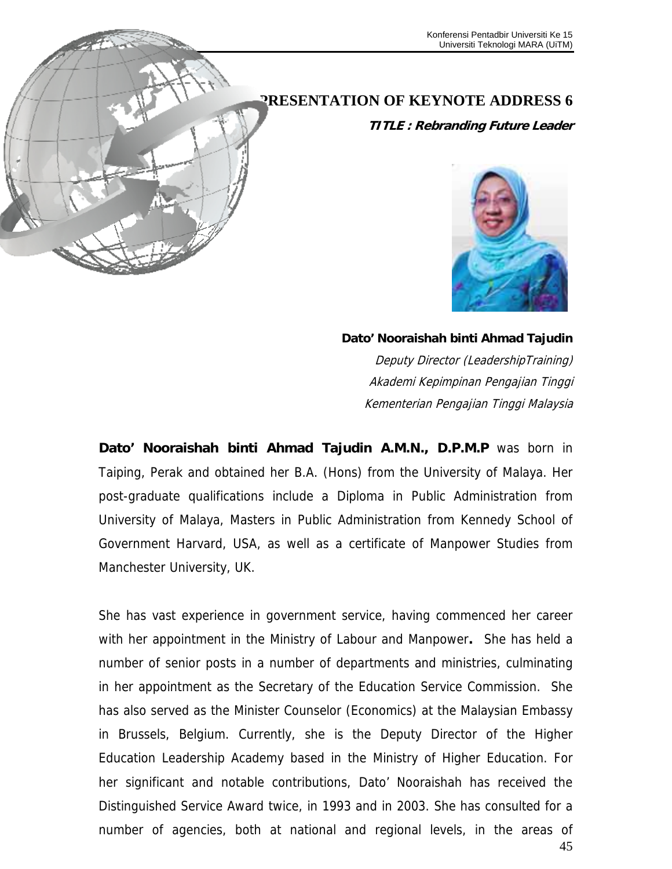

## **PRESENTATION OF KEYNOTE ADDRESS 6**

**TITLE : Rebranding Future Leader** 



## **Dato' Nooraishah binti Ahmad Tajudin**

Deputy Director (LeadershipTraining) Akademi Kepimpinan Pengajian Tinggi Kementerian Pengajian Tinggi Malaysia

**Dato' Nooraishah binti Ahmad Tajudin A.M.N., D.P.M.P** was born in Taiping, Perak and obtained her B.A. (Hons) from the University of Malaya. Her post-graduate qualifications include a Diploma in Public Administration from University of Malaya, Masters in Public Administration from Kennedy School of Government Harvard, USA, as well as a certificate of Manpower Studies from Manchester University, UK.

45 She has vast experience in government service, having commenced her career with her appointment in the Ministry of Labour and Manpower**.** She has held a number of senior posts in a number of departments and ministries, culminating in her appointment as the Secretary of the Education Service Commission. She has also served as the Minister Counselor (Economics) at the Malaysian Embassy in Brussels, Belgium. Currently, she is the Deputy Director of the Higher Education Leadership Academy based in the Ministry of Higher Education. For her significant and notable contributions, Dato' Nooraishah has received the Distinguished Service Award twice, in 1993 and in 2003. She has consulted for a number of agencies, both at national and regional levels, in the areas of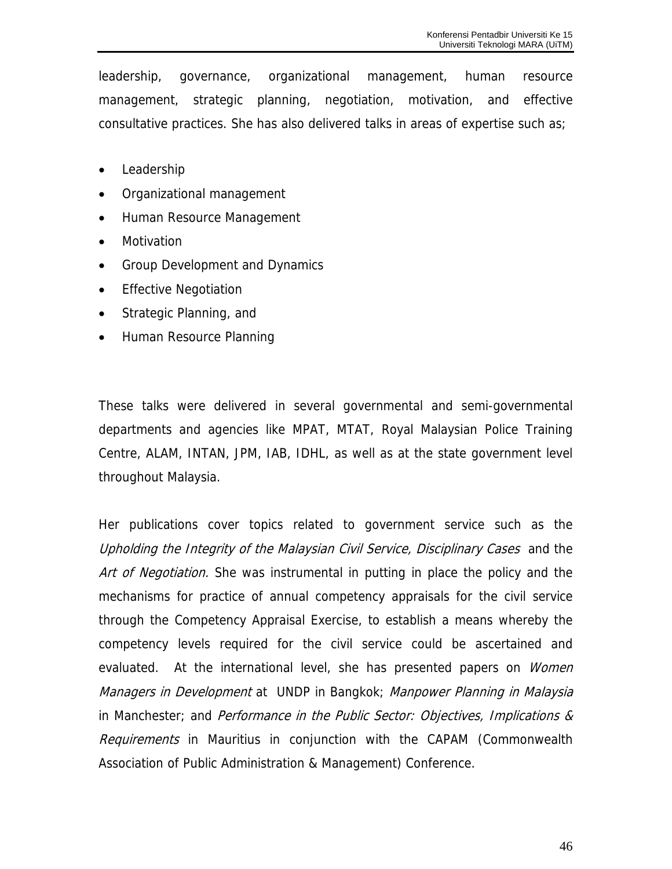leadership, governance, organizational management, human resource management, strategic planning, negotiation, motivation, and effective consultative practices. She has also delivered talks in areas of expertise such as;

- Leadership
- Organizational management
- Human Resource Management
- Motivation
- Group Development and Dynamics
- Effective Negotiation
- Strategic Planning, and
- Human Resource Planning

These talks were delivered in several governmental and semi-governmental departments and agencies like MPAT, MTAT, Royal Malaysian Police Training Centre, ALAM, INTAN, JPM, IAB, IDHL, as well as at the state government level throughout Malaysia.

Her publications cover topics related to government service such as the Upholding the Integrity of the Malaysian Civil Service, Disciplinary Cases and the Art of Negotiation. She was instrumental in putting in place the policy and the mechanisms for practice of annual competency appraisals for the civil service through the Competency Appraisal Exercise, to establish a means whereby the competency levels required for the civil service could be ascertained and evaluated. At the international level, she has presented papers on *Women* Managers in Development at UNDP in Bangkok; Manpower Planning in Malaysia in Manchester; and Performance in the Public Sector: Objectives, Implications & Requirements in Mauritius in conjunction with the CAPAM (Commonwealth Association of Public Administration & Management) Conference.